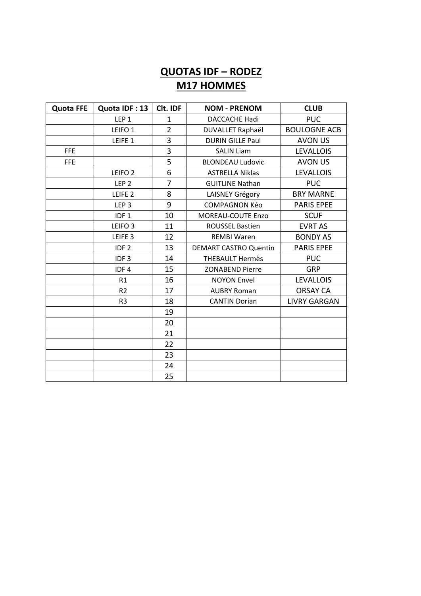## **QUOTAS IDF - RODEZ M17 HOMMES**

| <b>Quota FFE</b> | Quota IDF: 13      | Clt. IDF       | <b>NOM - PRENOM</b>          | <b>CLUB</b>         |
|------------------|--------------------|----------------|------------------------------|---------------------|
|                  | LEP <sub>1</sub>   | 1              | <b>DACCACHE Hadi</b>         | <b>PUC</b>          |
|                  | LEIFO <sub>1</sub> | $\overline{2}$ | DUVALLET Raphaël             | <b>BOULOGNE ACB</b> |
|                  | LEIFE 1            | 3              | <b>DURIN GILLE Paul</b>      | <b>AVON US</b>      |
| <b>FFE</b>       |                    | 3              | <b>SALIN Liam</b>            | <b>LEVALLOIS</b>    |
| <b>FFE</b>       |                    | 5              | <b>BLONDEAU Ludovic</b>      | <b>AVON US</b>      |
|                  | LEIFO <sub>2</sub> | 6              | <b>ASTRELLA Niklas</b>       | <b>LEVALLOIS</b>    |
|                  | LEP <sub>2</sub>   | $\overline{7}$ | <b>GUITLINE Nathan</b>       | <b>PUC</b>          |
|                  | LEIFE <sub>2</sub> | 8              | LAISNEY Grégory              | <b>BRY MARNE</b>    |
|                  | LEP <sub>3</sub>   | 9              | <b>COMPAGNON Kéo</b>         | <b>PARIS EPEE</b>   |
|                  | IDF <sub>1</sub>   | 10             | <b>MOREAU-COUTE Enzo</b>     | <b>SCUF</b>         |
|                  | LEIFO <sub>3</sub> | 11             | <b>ROUSSEL Bastien</b>       | <b>EVRT AS</b>      |
|                  | LEIFE <sub>3</sub> | 12             | <b>REMBI Waren</b>           | <b>BONDY AS</b>     |
|                  | IDF <sub>2</sub>   | 13             | <b>DEMART CASTRO Quentin</b> | <b>PARIS EPEE</b>   |
|                  | IDF <sub>3</sub>   | 14             | <b>THEBAULT Hermès</b>       | <b>PUC</b>          |
|                  | IDF4               | 15             | <b>ZONABEND Pierre</b>       | <b>GRP</b>          |
|                  | R1                 | 16             | <b>NOYON Envel</b>           | <b>LEVALLOIS</b>    |
|                  | R2                 | 17             | <b>AUBRY Roman</b>           | <b>ORSAY CA</b>     |
|                  | R <sub>3</sub>     | 18             | <b>CANTIN Dorian</b>         | <b>LIVRY GARGAN</b> |
|                  |                    | 19             |                              |                     |
|                  |                    | 20             |                              |                     |
|                  |                    | 21             |                              |                     |
|                  |                    | 22             |                              |                     |
|                  |                    | 23             |                              |                     |
|                  |                    | 24             |                              |                     |
|                  |                    | 25             |                              |                     |